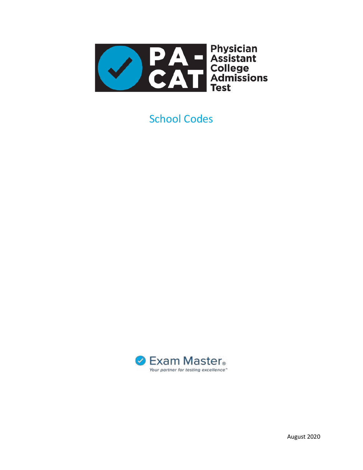

School Codes



August 2020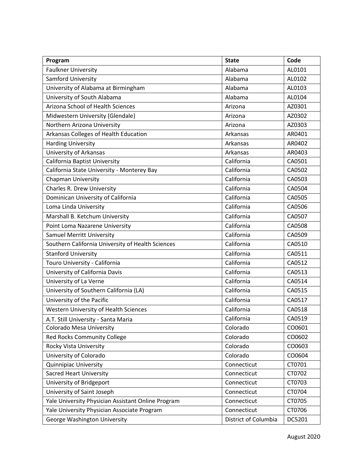| Program                                            | <b>State</b>         | Code   |
|----------------------------------------------------|----------------------|--------|
| <b>Faulkner University</b>                         | Alabama              | AL0101 |
| Samford University                                 | Alabama              | AL0102 |
| University of Alabama at Birmingham                | Alabama              | AL0103 |
| University of South Alabama                        | Alabama              | AL0104 |
| Arizona School of Health Sciences                  | Arizona              | AZ0301 |
| Midwestern University (Glendale)                   | Arizona              | AZ0302 |
| Northern Arizona University                        | Arizona              | AZ0303 |
| Arkansas Colleges of Health Education              | Arkansas             | AR0401 |
| <b>Harding University</b>                          | Arkansas             | AR0402 |
| University of Arkansas                             | Arkansas             | AR0403 |
| California Baptist University                      | California           | CA0501 |
| California State University - Monterey Bay         | California           | CA0502 |
| Chapman University                                 | California           | CA0503 |
| <b>Charles R. Drew University</b>                  | California           | CA0504 |
| Dominican University of California                 | California           | CA0505 |
| Loma Linda University                              | California           | CA0506 |
| Marshall B. Ketchum University                     | California           | CA0507 |
| Point Loma Nazarene University                     | California           | CA0508 |
| <b>Samuel Merritt University</b>                   | California           | CA0509 |
| Southern California University of Health Sciences  | California           | CA0510 |
| <b>Stanford University</b>                         | California           | CA0511 |
| Touro University - California                      | California           | CA0512 |
| University of California Davis                     | California           | CA0513 |
| University of La Verne                             | California           | CA0514 |
| University of Southern California (LA)             | California           | CA0515 |
| University of the Pacific                          | California           | CA0517 |
| Western University of Health Sciences              | California           | CA0518 |
| A.T. Still University - Santa Maria                | California           | CA0519 |
| <b>Colorado Mesa University</b>                    | Colorado             | CO0601 |
| Red Rocks Community College                        | Colorado             | CO0602 |
| Rocky Vista University                             | Colorado             | CO0603 |
| University of Colorado                             | Colorado             | CO0604 |
| <b>Quinnipiac University</b>                       | Connecticut          | CT0701 |
| <b>Sacred Heart University</b>                     | Connecticut          | CT0702 |
| University of Bridgeport                           | Connecticut          | CT0703 |
| University of Saint Joseph                         | Connecticut          | CT0704 |
| Yale University Physician Assistant Online Program | Connecticut          | CT0705 |
| Yale University Physician Associate Program        | Connecticut          | CT0706 |
| George Washington University                       | District of Columbia | DC5201 |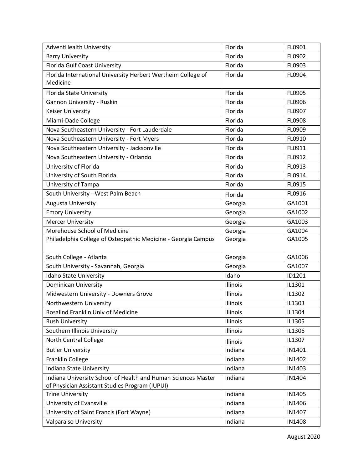| <b>AdventHealth University</b>                                           | Florida  | FL0901 |
|--------------------------------------------------------------------------|----------|--------|
| <b>Barry University</b>                                                  | Florida  | FL0902 |
| Florida Gulf Coast University                                            | Florida  | FL0903 |
| Florida International University Herbert Wertheim College of<br>Medicine | Florida  | FL0904 |
| <b>Florida State University</b>                                          | Florida  | FL0905 |
| Gannon University - Ruskin                                               | Florida  | FL0906 |
| <b>Keiser University</b>                                                 | Florida  | FL0907 |
| Miami-Dade College                                                       | Florida  | FL0908 |
| Nova Southeastern University - Fort Lauderdale                           | Florida  | FL0909 |
| Nova Southeastern University - Fort Myers                                | Florida  | FL0910 |
| Nova Southeastern University - Jacksonville                              | Florida  | FL0911 |
| Nova Southeastern University - Orlando                                   | Florida  | FL0912 |
| University of Florida                                                    | Florida  | FL0913 |
| University of South Florida                                              | Florida  | FL0914 |
| University of Tampa                                                      | Florida  | FL0915 |
| South University - West Palm Beach                                       | Florida  | FL0916 |
| <b>Augusta University</b>                                                | Georgia  | GA1001 |
| <b>Emory University</b>                                                  | Georgia  | GA1002 |
| <b>Mercer University</b>                                                 | Georgia  | GA1003 |
| Morehouse School of Medicine                                             | Georgia  | GA1004 |
| Philadelphia College of Osteopathic Medicine - Georgia Campus            | Georgia  | GA1005 |
| South College - Atlanta                                                  | Georgia  | GA1006 |
| South University - Savannah, Georgia                                     | Georgia  | GA1007 |
| Idaho State University                                                   | Idaho    | ID1201 |
| <b>Dominican University</b>                                              | Illinois | IL1301 |
| Midwestern University - Downers Grove                                    | Illinois | IL1302 |
| Northwestern University                                                  | Illinois | IL1303 |
| Rosalind Franklin Univ of Medicine                                       | Illinois | IL1304 |
| <b>Rush University</b>                                                   | Illinois | IL1305 |
| Southern Illinois University                                             | Illinois | IL1306 |
| North Central College                                                    | Illinois | IL1307 |
| <b>Butler University</b>                                                 | Indiana  | IN1401 |
| Franklin College                                                         | Indiana  | IN1402 |
| Indiana State University                                                 | Indiana  | IN1403 |
| Indiana University School of Health and Human Sciences Master            | Indiana  | IN1404 |
| of Physician Assistant Studies Program (IUPUI)                           |          |        |
| <b>Trine University</b>                                                  | Indiana  | IN1405 |
| University of Evansville                                                 | Indiana  | IN1406 |
| University of Saint Francis (Fort Wayne)                                 | Indiana  | IN1407 |
| <b>Valparaiso University</b>                                             | Indiana  | IN1408 |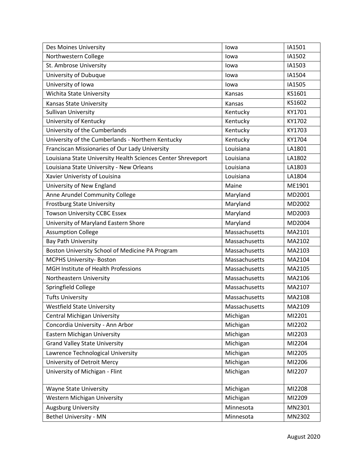| Des Moines University                                        | lowa          | IA1501 |
|--------------------------------------------------------------|---------------|--------|
| Northwestern College                                         | lowa          | IA1502 |
| St. Ambrose University                                       | lowa          | IA1503 |
| University of Dubuque                                        | lowa          | IA1504 |
| University of Iowa                                           | lowa          | IA1505 |
| Wichita State University                                     | Kansas        | KS1601 |
| Kansas State University                                      | Kansas        | KS1602 |
| Sullivan University                                          | Kentucky      | KY1701 |
| University of Kentucky                                       | Kentucky      | KY1702 |
| University of the Cumberlands                                | Kentucky      | KY1703 |
| University of the Cumberlands - Northern Kentucky            | Kentucky      | KY1704 |
| Franciscan Missionaries of Our Lady University               | Louisiana     | LA1801 |
| Louisiana State University Health Sciences Center Shreveport | Louisiana     | LA1802 |
| Louisiana State University - New Orleans                     | Louisiana     | LA1803 |
| Xavier Univeristy of Louisina                                | Louisiana     | LA1804 |
| University of New England                                    | Maine         | ME1901 |
| Anne Arundel Community College                               | Maryland      | MD2001 |
| <b>Frostburg State University</b>                            | Maryland      | MD2002 |
| <b>Towson University CCBC Essex</b>                          | Maryland      | MD2003 |
| University of Maryland Eastern Shore                         | Maryland      | MD2004 |
| <b>Assumption College</b>                                    | Massachusetts | MA2101 |
| <b>Bay Path University</b>                                   | Massachusetts | MA2102 |
| Boston University School of Medicine PA Program              | Massachusetts | MA2103 |
| <b>MCPHS University- Boston</b>                              | Massachusetts | MA2104 |
| MGH Institute of Health Professions                          | Massachusetts | MA2105 |
| Northeastern University                                      | Massachusetts | MA2106 |
| Springfield College                                          | Massachusetts | MA2107 |
| <b>Tufts University</b>                                      | Massachusetts | MA2108 |
| <b>Westfield State University</b>                            | Massachusetts | MA2109 |
| <b>Central Michigan University</b>                           | Michigan      | MI2201 |
| Concordia University - Ann Arbor                             | Michigan      | MI2202 |
| Eastern Michigan University                                  | Michigan      | MI2203 |
| <b>Grand Valley State University</b>                         | Michigan      | MI2204 |
| Lawrence Technological University                            | Michigan      | MI2205 |
| University of Detroit Mercy                                  | Michigan      | MI2206 |
| University of Michigan - Flint                               | Michigan      | MI2207 |
| <b>Wayne State University</b>                                | Michigan      | MI2208 |
| <b>Western Michigan University</b>                           | Michigan      | MI2209 |
| <b>Augsburg University</b>                                   | Minnesota     | MN2301 |
| <b>Bethel University - MN</b>                                | Minnesota     | MN2302 |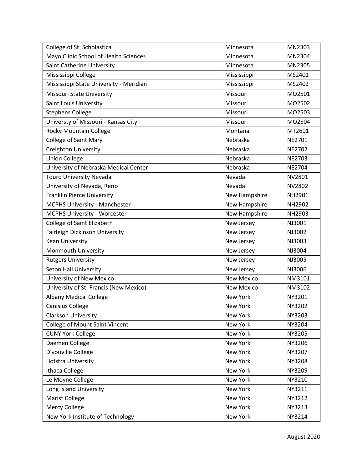| College of St. Scholastica              | Minnesota         | MN2303        |
|-----------------------------------------|-------------------|---------------|
| Mayo Clinic School of Health Sciences   | Minnesota         | MN2304        |
| Saint Catherine University              | Minnesota         | MN2305        |
| Mississippi College                     | Mississippi       | MS2401        |
| Mississippi State University - Meridian | Mississippi       | MS2402        |
| <b>Missouri State University</b>        | Missouri          | MO2501        |
| <b>Saint Louis University</b>           | Missouri          | MO2502        |
| <b>Stephens College</b>                 | Missouri          | MO2503        |
| Universty of Missouri - Kansas City     | Missouri          | MO2504        |
| <b>Rocky Mountain College</b>           | Montana           | MT2601        |
| College of Saint Mary                   | Nebraska          | NE2701        |
| Creighton University                    | Nebraska          | <b>NE2702</b> |
| <b>Union College</b>                    | Nebraska          | <b>NE2703</b> |
| University of Nebraska Medical Center   | Nebraska          | <b>NE2704</b> |
| <b>Touro University Nevada</b>          | Nevada            | NV2801        |
| University of Nevada, Reno              | Nevada            | <b>NV2802</b> |
| Franklin Pierce University              | New Hampshire     | NH2901        |
| <b>MCPHS University - Manchester</b>    | New Hampshire     | NH2902        |
| MCPHS University - Worcester            | New Hampshire     | NH2903        |
| College of Saint Elizabeth              | New Jersey        | NJ3001        |
| Fairleigh Dickinson University          | New Jersey        | NJ3002        |
| <b>Kean University</b>                  | New Jersey        | NJ3003        |
| Monmouth University                     | New Jersey        | NJ3004        |
| <b>Rutgers University</b>               | New Jersey        | NJ3005        |
| Seton Hall University                   | New Jersey        | NJ3006        |
| University of New Mexico                | <b>New Mexico</b> | NM3101        |
| University of St. Francis (New Mexico)  | <b>New Mexico</b> | NM3102        |
| <b>Albany Medical College</b>           | New York          | NY3201        |
| <b>Canisius College</b>                 | New York          | NY3202        |
| <b>Clarkson University</b>              | New York          | NY3203        |
| <b>College of Mount Saint Vincent</b>   | New York          | NY3204        |
| <b>CUNY York College</b>                | New York          | NY3205        |
| Daemen College                          | New York          | NY3206        |
| D'youville College                      | New York          | NY3207        |
| Hofstra University                      | New York          | NY3208        |
| Ithaca College                          | New York          | NY3209        |
| Le Moyne College                        | New York          | NY3210        |
| Long Island University                  | New York          | NY3211        |
| <b>Marist College</b>                   | New York          | NY3212        |
| Mercy College                           | New York          | NY3213        |
| New York Institute of Technology        | New York          | NY3214        |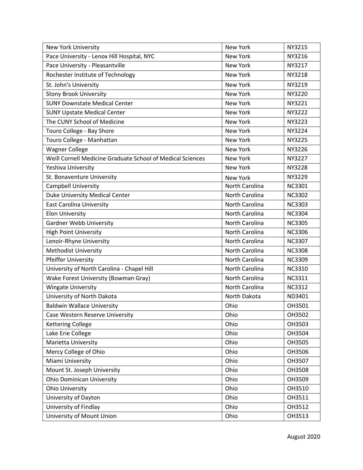| New York University                                        | New York              | NY3215        |
|------------------------------------------------------------|-----------------------|---------------|
| Pace University - Lenox Hill Hospital, NYC                 | New York              | NY3216        |
| Pace University - Pleasantville                            | <b>New York</b>       | NY3217        |
| Rochester Institute of Technology                          | New York              | NY3218        |
| St. John's University                                      | New York              | NY3219        |
| <b>Stony Brook University</b>                              | <b>New York</b>       | NY3220        |
| <b>SUNY Downstate Medical Center</b>                       | New York              | NY3221        |
| <b>SUNY Upstate Medical Center</b>                         | New York              | NY3222        |
| The CUNY School of Medicine                                | New York              | <b>NY3223</b> |
| Touro College - Bay Shore                                  | New York              | NY3224        |
| Touro College - Manhattan                                  | New York              | <b>NY3225</b> |
| <b>Wagner College</b>                                      | New York              | NY3226        |
| Weill Cornell Medicine Graduate School of Medical Sciences | New York              | NY3227        |
| Yeshiva University                                         | New York              | <b>NY3228</b> |
| St. Bonaventure University                                 | New York              | NY3229        |
| <b>Campbell University</b>                                 | <b>North Carolina</b> | <b>NC3301</b> |
| Duke University Medical Center                             | North Carolina        | <b>NC3302</b> |
| <b>East Carolina University</b>                            | North Carolina        | <b>NC3303</b> |
| <b>Elon University</b>                                     | North Carolina        | <b>NC3304</b> |
| <b>Gardner Webb University</b>                             | North Carolina        | <b>NC3305</b> |
| <b>High Point University</b>                               | North Carolina        | <b>NC3306</b> |
| Lenoir-Rhyne University                                    | North Carolina        | <b>NC3307</b> |
| Methodist University                                       | North Carolina        | <b>NC3308</b> |
| Pfeiffer University                                        | North Carolina        | <b>NC3309</b> |
| University of North Carolina - Chapel Hill                 | North Carolina        | <b>NC3310</b> |
| Wake Forest University (Bowman Gray)                       | North Carolina        | <b>NC3311</b> |
| <b>Wingate University</b>                                  | North Carolina        | <b>NC3312</b> |
| University of North Dakota                                 | North Dakota          | ND3401        |
| <b>Baldwin Wallace University</b>                          | Ohio                  | OH3501        |
| Case Western Reserve University                            | Ohio                  | OH3502        |
| <b>Kettering College</b>                                   | Ohio                  | OH3503        |
| Lake Erie College                                          | Ohio                  | OH3504        |
| Marietta University                                        | Ohio                  | OH3505        |
| Mercy College of Ohio                                      | Ohio                  | OH3506        |
| Miami University                                           | Ohio                  | OH3507        |
| Mount St. Joseph University                                | Ohio                  | OH3508        |
| <b>Ohio Dominican University</b>                           | Ohio                  | OH3509        |
| <b>Ohio University</b>                                     | Ohio                  | OH3510        |
| University of Dayton                                       | Ohio                  | OH3511        |
| University of Findlay                                      | Ohio                  | OH3512        |
| University of Mount Union                                  | Ohio                  | OH3513        |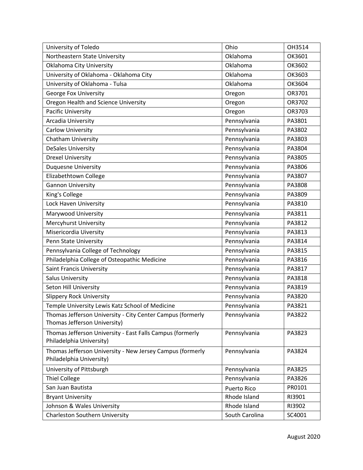| University of Toledo                                                                       | Ohio               | OH3514 |
|--------------------------------------------------------------------------------------------|--------------------|--------|
| Northeastern State University                                                              | Oklahoma           | OK3601 |
| Oklahoma City University                                                                   | Oklahoma           | OK3602 |
| University of Oklahoma - Oklahoma City                                                     | Oklahoma           | OK3603 |
| University of Oklahoma - Tulsa                                                             | Oklahoma           | OK3604 |
| <b>George Fox University</b>                                                               | Oregon             | OR3701 |
| Oregon Health and Science University                                                       | Oregon             | OR3702 |
| <b>Pacific University</b>                                                                  | Oregon             | OR3703 |
| Arcadia University                                                                         | Pennsylvania       | PA3801 |
| <b>Carlow University</b>                                                                   | Pennsylvania       | PA3802 |
| Chatham University                                                                         | Pennsylvania       | PA3803 |
| <b>DeSales University</b>                                                                  | Pennsylvania       | PA3804 |
| <b>Drexel University</b>                                                                   | Pennsylvania       | PA3805 |
| <b>Duquesne University</b>                                                                 | Pennsylvania       | PA3806 |
| Elizabethtown College                                                                      | Pennsylvania       | PA3807 |
| <b>Gannon University</b>                                                                   | Pennsylvania       | PA3808 |
| King's College                                                                             | Pennsylvania       | PA3809 |
| Lock Haven University                                                                      | Pennsylvania       | PA3810 |
| Marywood University                                                                        | Pennsylvania       | PA3811 |
| <b>Mercyhurst University</b>                                                               | Pennsylvania       | PA3812 |
| Misericordia Uiversity                                                                     | Pennsylvania       | PA3813 |
| Penn State University                                                                      | Pennsylvania       | PA3814 |
| Pennsylvania College of Technology                                                         | Pennsylvania       | PA3815 |
| Philadelphia College of Osteopathic Medicine                                               | Pennsylvania       | PA3816 |
| <b>Saint Francis University</b>                                                            | Pennsylvania       | PA3817 |
| <b>Salus University</b>                                                                    | Pennsylvania       | PA3818 |
| Seton Hill University                                                                      | Pennsylvania       | PA3819 |
| <b>Slippery Rock University</b>                                                            | Pennsylvania       | PA3820 |
| Temple University Lewis Katz School of Medicine                                            | Pennsylvania       | PA3821 |
| Thomas Jefferson University - City Center Campus (formerly<br>Thomas Jefferson University) | Pennsylvania       | PA3822 |
| Thomas Jefferson University - East Falls Campus (formerly<br>Philadelphia University)      | Pennsylvania       | PA3823 |
| Thomas Jefferson University - New Jersey Campus (formerly<br>Philadelphia University)      | Pennsylvania       | PA3824 |
| University of Pittsburgh                                                                   | Pennsylvania       | PA3825 |
| <b>Thiel College</b>                                                                       | Pennsylvania       | PA3826 |
| San Juan Bautista                                                                          | <b>Puerto Rico</b> | PR0101 |
| <b>Bryant University</b>                                                                   | Rhode Island       | RI3901 |
| Johnson & Wales University                                                                 | Rhode Island       | RI3902 |
| <b>Charleston Southern University</b>                                                      | South Carolina     | SC4001 |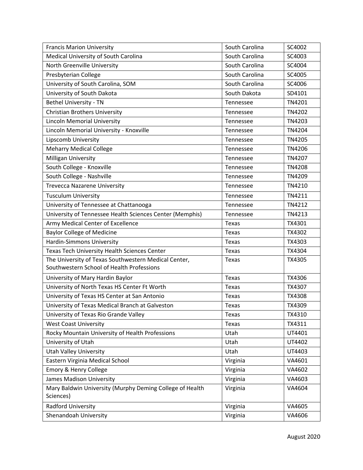| <b>Francis Marion University</b>                         | South Carolina | SC4002        |
|----------------------------------------------------------|----------------|---------------|
| Medical University of South Carolina                     | South Carolina | SC4003        |
| North Greenville University                              | South Carolina | SC4004        |
| Presbyterian College                                     | South Carolina | SC4005        |
| University of South Carolina, SOM                        | South Carolina | SC4006        |
| University of South Dakota                               | South Dakota   | SD4101        |
| <b>Bethel University - TN</b>                            | Tennessee      | TN4201        |
| <b>Christian Brothers University</b>                     | Tennessee      | TN4202        |
| <b>Lincoln Memorial University</b>                       | Tennessee      | TN4203        |
| Lincoln Memorial University - Knoxville                  | Tennessee      | <b>TN4204</b> |
| Lipscomb University                                      | Tennessee      | <b>TN4205</b> |
| <b>Meharry Medical College</b>                           | Tennessee      | TN4206        |
| Milligan University                                      | Tennessee      | TN4207        |
| South College - Knoxville                                | Tennessee      | <b>TN4208</b> |
| South College - Nashville                                | Tennessee      | TN4209        |
| <b>Trevecca Nazarene University</b>                      | Tennessee      | TN4210        |
| <b>Tusculum University</b>                               | Tennessee      | TN4211        |
| University of Tennessee at Chattanooga                   | Tennessee      | TN4212        |
| University of Tennessee Health Sciences Center (Memphis) | Tennessee      | TN4213        |
| Army Medical Center of Excellence                        | Texas          | TX4301        |
| <b>Baylor College of Medicine</b>                        | Texas          | TX4302        |
| Hardin-Simmons University                                | Texas          | TX4303        |
| Texas Tech University Health Sciences Center             | Texas          | TX4304        |
| The University of Texas Southwestern Medical Center,     | Texas          | TX4305        |
| Southwestern School of Health Professions                |                |               |
| University of Mary Hardin Baylor                         | <b>Texas</b>   | TX4306        |
| University of North Texas HS Center Ft Worth             | Texas          | TX4307        |
| University of Texas HS Center at San Antonio             | Texas          | TX4308        |
| University of Texas Medical Branch at Galveston          | <b>Texas</b>   | TX4309        |
| University of Texas Rio Grande Valley                    | Texas          | TX4310        |
| <b>West Coast University</b>                             | <b>Texas</b>   | TX4311        |
| Rocky Mountain University of Health Professions          | Utah           | UT4401        |
| University of Utah                                       | Utah           | UT4402        |
| <b>Utah Valley University</b>                            | Utah           | UT4403        |
| Eastern Virginia Medical School                          | Virginia       | VA4601        |
| Emory & Henry College                                    | Virginia       | VA4602        |
| James Madison University                                 | Virginia       | VA4603        |
| Mary Baldwin University (Murphy Deming College of Health | Virginia       | VA4604        |
| Sciences)                                                |                |               |
| Radford University                                       | Virginia       | VA4605        |
| Shenandoah University                                    | Virginia       | VA4606        |